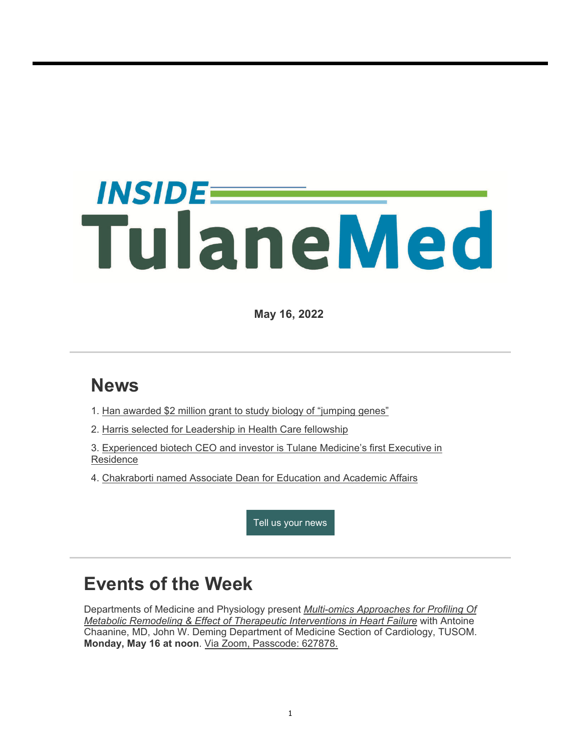# *INSIDEE* TulaneMed

**May 16, 2022**

# **News**

- 1. Han awarded \$2 million grant to study biology of "jumping genes"
- 2. Harris selected for Leadership in Health Care fellowship
- 3. Experienced biotech CEO and investor is Tulane Medicine's first Executive in **Residence**
- 4. Chakraborti named Associate Dean for Education and Academic Affairs

Tell us your news

## **Events of the Week**

Departments of Medicine and Physiology present *Multi-omics Approaches for Profiling Of Metabolic Remodeling & Effect of Therapeutic Interventions in Heart Failure* with Antoine Chaanine, MD, John W. Deming Department of Medicine Section of Cardiology, TUSOM. **Monday, May 16 at noon**. Via Zoom, Passcode: 627878.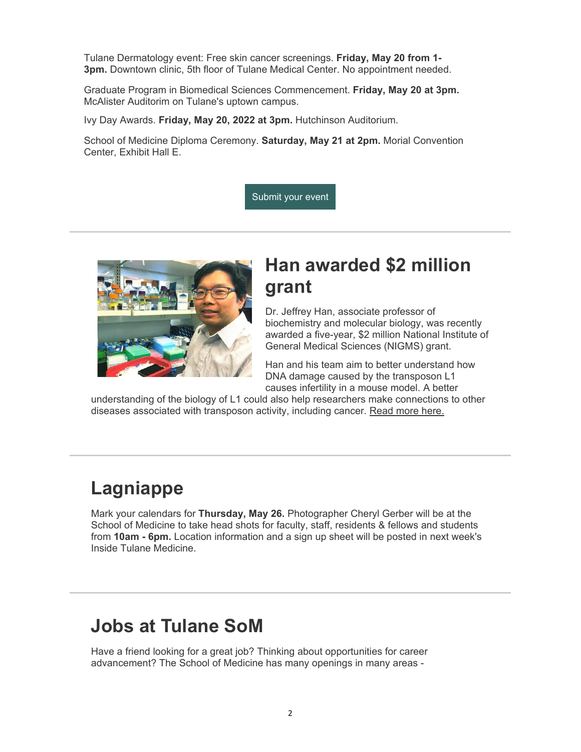Tulane Dermatology event: Free skin cancer screenings. **Friday, May 20 from 1- 3pm.** Downtown clinic, 5th floor of Tulane Medical Center. No appointment needed.

Graduate Program in Biomedical Sciences Commencement. **Friday, May 20 at 3pm.** McAlister Auditorim on Tulane's uptown campus.

Ivy Day Awards. **Friday, May 20, 2022 at 3pm.** Hutchinson Auditorium.

School of Medicine Diploma Ceremony. **Saturday, May 21 at 2pm.** Morial Convention Center, Exhibit Hall E.

Submit your event



## **Han awarded \$2 million grant**

Dr. Jeffrey Han, associate professor of biochemistry and molecular biology, was recently awarded a five-year, \$2 million National Institute of General Medical Sciences (NIGMS) grant.

Han and his team aim to better understand how DNA damage caused by the transposon L1 causes infertility in a mouse model. A better

understanding of the biology of L1 could also help researchers make connections to other diseases associated with transposon activity, including cancer. Read more here.

## **Lagniappe**

Mark your calendars for **Thursday, May 26.** Photographer Cheryl Gerber will be at the School of Medicine to take head shots for faculty, staff, residents & fellows and students from **10am - 6pm.** Location information and a sign up sheet will be posted in next week's Inside Tulane Medicine.

# **Jobs at Tulane SoM**

Have a friend looking for a great job? Thinking about opportunities for career advancement? The School of Medicine has many openings in many areas -